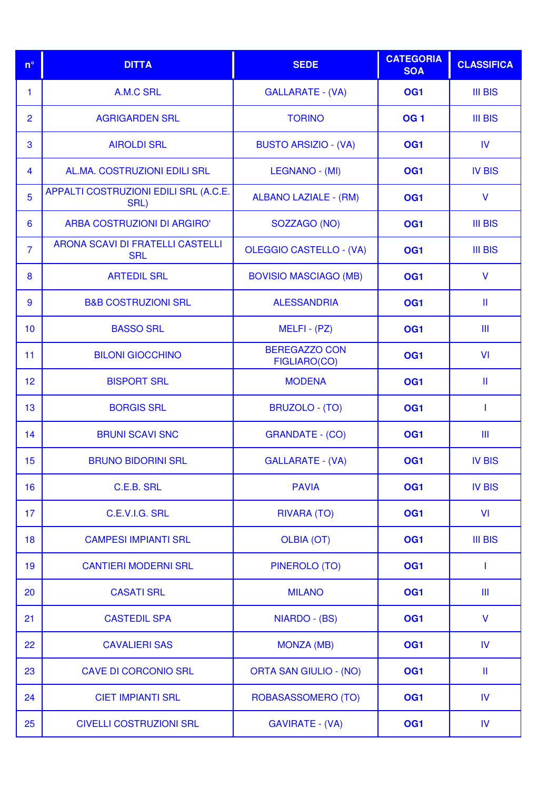| $n^{\circ}$     | <b>DITTA</b>                                   | <b>SEDE</b>                          | <b>CATEGORIA</b><br><b>SOA</b> | <b>CLASSIFICA</b> |
|-----------------|------------------------------------------------|--------------------------------------|--------------------------------|-------------------|
| 1               | A.M.C SRL                                      | <b>GALLARATE - (VA)</b>              | OG <sub>1</sub>                | <b>III BIS</b>    |
| $\overline{2}$  | <b>AGRIGARDEN SRL</b>                          | <b>TORINO</b>                        | <b>OG1</b>                     | <b>III BIS</b>    |
| 3               | <b>AIROLDI SRL</b>                             | <b>BUSTO ARSIZIO - (VA)</b>          | OG <sub>1</sub>                | <b>IV</b>         |
| $\overline{4}$  | AL.MA. COSTRUZIONI EDILI SRL                   | LEGNANO - (MI)                       | OG <sub>1</sub>                | <b>IV BIS</b>     |
| 5               | APPALTI COSTRUZIONI EDILI SRL (A.C.E.<br>SRL)  | <b>ALBANO LAZIALE - (RM)</b>         | OG <sub>1</sub>                | $\mathsf{V}$      |
| $6\phantom{1}6$ | ARBA COSTRUZIONI DI ARGIRO'                    | SOZZAGO (NO)                         | OG <sub>1</sub>                | <b>III BIS</b>    |
| $\overline{7}$  | ARONA SCAVI DI FRATELLI CASTELLI<br><b>SRL</b> | <b>OLEGGIO CASTELLO - (VA)</b>       | OG <sub>1</sub>                | <b>III BIS</b>    |
| 8               | <b>ARTEDIL SRL</b>                             | <b>BOVISIO MASCIAGO (MB)</b>         | OG <sub>1</sub>                | $\mathsf{V}$      |
| 9               | <b>B&amp;B COSTRUZIONI SRL</b>                 | <b>ALESSANDRIA</b>                   | OG <sub>1</sub>                | Ш                 |
| 10              | <b>BASSO SRL</b>                               | $MELFI - (PZ)$                       | OG <sub>1</sub>                | Ш                 |
| 11              | <b>BILONI GIOCCHINO</b>                        | <b>BEREGAZZO CON</b><br>FIGLIARO(CO) | OG <sub>1</sub>                | VI                |
| 12              | <b>BISPORT SRL</b>                             | <b>MODENA</b>                        | OG <sub>1</sub>                | Ш                 |
| 13              | <b>BORGIS SRL</b>                              | <b>BRUZOLO - (TO)</b>                | OG <sub>1</sub>                | $\mathbf{I}$      |
| 14              | <b>BRUNI SCAVI SNC</b>                         | <b>GRANDATE - (CO)</b>               | OG <sub>1</sub>                | Ш                 |
| 15              | <b>BRUNO BIDORINI SRL</b>                      | <b>GALLARATE - (VA)</b>              | OG <sub>1</sub>                | <b>IV BIS</b>     |
| 16              | C.E.B. SRL                                     | <b>PAVIA</b>                         | OG <sub>1</sub>                | <b>IV BIS</b>     |
| 17              | C.E.V.I.G. SRL                                 | <b>RIVARA (TO)</b>                   | OG <sub>1</sub>                | VI                |
| 18              | <b>CAMPESI IMPIANTI SRL</b>                    | <b>OLBIA (OT)</b>                    | OG <sub>1</sub>                | <b>III BIS</b>    |
| 19              | <b>CANTIERI MODERNI SRL</b>                    | <b>PINEROLO (TO)</b>                 | OG <sub>1</sub>                | $\mathbf{I}$      |
| 20              | <b>CASATI SRL</b>                              | <b>MILANO</b>                        | OG <sub>1</sub>                | Ш                 |
| 21              | <b>CASTEDIL SPA</b>                            | NIARDO - (BS)                        | OG <sub>1</sub>                | $\mathsf{V}$      |
| 22              | <b>CAVALIERI SAS</b>                           | <b>MONZA (MB)</b>                    | OG <sub>1</sub>                | IV                |
| 23              | <b>CAVE DI CORCONIO SRL</b>                    | <b>ORTA SAN GIULIO - (NO)</b>        | OG <sub>1</sub>                | Ш                 |
| 24              | <b>CIET IMPIANTI SRL</b>                       | ROBASASSOMERO (TO)                   | OG <sub>1</sub>                | IV                |
| 25              | <b>CIVELLI COSTRUZIONI SRL</b>                 | <b>GAVIRATE - (VA)</b>               | OG <sub>1</sub>                | IV                |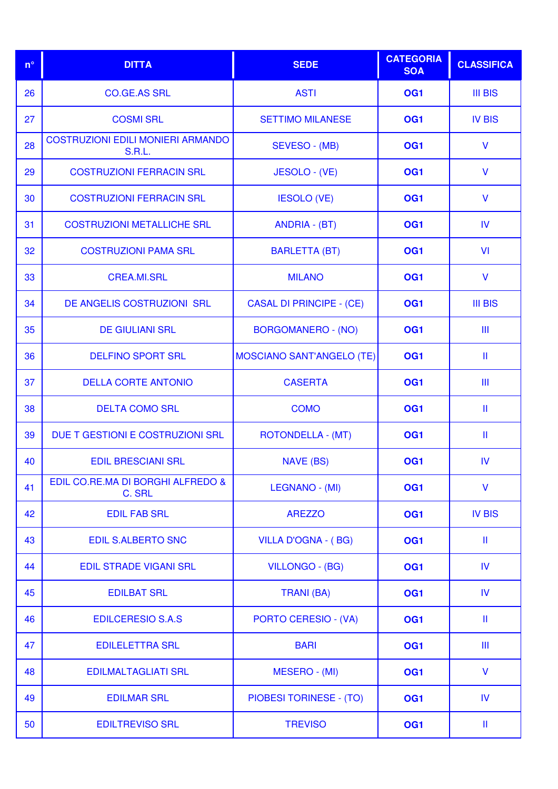| $n^{\circ}$ | <b>DITTA</b>                                              | <b>SEDE</b>                      | <b>CATEGORIA</b><br><b>SOA</b> | <b>CLASSIFICA</b>     |
|-------------|-----------------------------------------------------------|----------------------------------|--------------------------------|-----------------------|
| 26          | <b>CO.GE.AS SRL</b>                                       | <b>ASTI</b>                      | OG <sub>1</sub>                | <b>III BIS</b>        |
| 27          | <b>COSMI SRL</b>                                          | <b>SETTIMO MILANESE</b>          | OG <sub>1</sub>                | <b>IV BIS</b>         |
| 28          | <b>COSTRUZIONI EDILI MONIERI ARMANDO</b><br><b>S.R.L.</b> | SEVESO - (MB)                    | OG <sub>1</sub>                | $\mathsf{V}$          |
| 29          | <b>COSTRUZIONI FERRACIN SRL</b>                           | <b>JESOLO - (VE)</b>             | OG <sub>1</sub>                | V                     |
| 30          | <b>COSTRUZIONI FERRACIN SRL</b>                           | <b>IESOLO (VE)</b>               | OG <sub>1</sub>                | $\mathsf{V}$          |
| 31          | <b>COSTRUZIONI METALLICHE SRL</b>                         | <b>ANDRIA - (BT)</b>             | OG <sub>1</sub>                | IV                    |
| 32          | <b>COSTRUZIONI PAMA SRL</b>                               | <b>BARLETTA (BT)</b>             | OG <sub>1</sub>                | VI                    |
| 33          | <b>CREA.MI.SRL</b>                                        | <b>MILANO</b>                    | OG <sub>1</sub>                | $\mathsf{V}$          |
| 34          | DE ANGELIS COSTRUZIONI SRL                                | <b>CASAL DI PRINCIPE - (CE)</b>  | OG <sub>1</sub>                | <b>III BIS</b>        |
| 35          | <b>DE GIULIANI SRL</b>                                    | <b>BORGOMANERO - (NO)</b>        | OG <sub>1</sub>                | Ш                     |
| 36          | <b>DELFINO SPORT SRL</b>                                  | <b>MOSCIANO SANT'ANGELO (TE)</b> | OG <sub>1</sub>                | Ш                     |
| 37          | <b>DELLA CORTE ANTONIO</b>                                | <b>CASERTA</b>                   | OG <sub>1</sub>                | Ш                     |
| 38          | <b>DELTA COMO SRL</b>                                     | <b>COMO</b>                      | OG <sub>1</sub>                | $\mathbf{II}$         |
| 39          | DUE T GESTIONI E COSTRUZIONI SRL                          | ROTONDELLA - (MT)                | OG <sub>1</sub>                | Ш                     |
| 40          | <b>EDIL BRESCIANI SRL</b>                                 | <b>NAVE (BS)</b>                 | OG <sub>1</sub>                | <b>IV</b>             |
| 41          | EDIL CO.RE.MA DI BORGHI ALFREDO &<br>C. SRL               | LEGNANO - (MI)                   | OG <sub>1</sub>                | V                     |
| 42          | <b>EDIL FAB SRL</b>                                       | <b>AREZZO</b>                    | OG <sub>1</sub>                | <b>IV BIS</b>         |
| 43          | <b>EDIL S.ALBERTO SNC</b>                                 | <b>VILLA D'OGNA - (BG)</b>       | OG <sub>1</sub>                | Ш                     |
| 44          | <b>EDIL STRADE VIGANI SRL</b>                             | <b>VILLONGO - (BG)</b>           | OG <sub>1</sub>                | IV                    |
| 45          | <b>EDILBAT SRL</b>                                        | <b>TRANI (BA)</b>                | OG <sub>1</sub>                | IV                    |
| 46          | <b>EDILCERESIO S.A.S</b>                                  | PORTO CERESIO - (VA)             | OG <sub>1</sub>                | $\mathbf{\mathbf{H}}$ |
| 47          | <b>EDILELETTRA SRL</b>                                    | <b>BARI</b>                      | OG <sub>1</sub>                | Ш                     |
| 48          | <b>EDILMALTAGLIATI SRL</b>                                | MESERO - (MI)                    | OG <sub>1</sub>                | V                     |
| 49          | <b>EDILMAR SRL</b>                                        | <b>PIOBESI TORINESE - (TO)</b>   | OG <sub>1</sub>                | IV                    |
| 50          | <b>EDILTREVISO SRL</b>                                    | <b>TREVISO</b>                   | OG <sub>1</sub>                | Ш                     |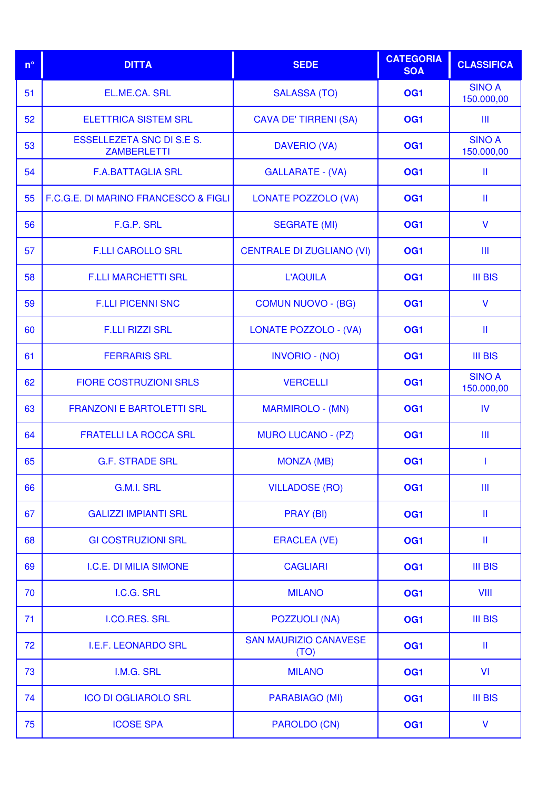| $n^{\circ}$ | <b>DITTA</b>                                           | <b>SEDE</b>                          | <b>CATEGORIA</b><br><b>SOA</b> | <b>CLASSIFICA</b>           |
|-------------|--------------------------------------------------------|--------------------------------------|--------------------------------|-----------------------------|
| 51          | EL.ME.CA. SRL                                          | <b>SALASSA (TO)</b>                  | OG <sub>1</sub>                | <b>SINO A</b><br>150.000,00 |
| 52          | <b>ELETTRICA SISTEM SRL</b>                            | <b>CAVA DE' TIRRENI (SA)</b>         | OG <sub>1</sub>                | Ш                           |
| 53          | <b>ESSELLEZETA SNC DI S.E S.</b><br><b>ZAMBERLETTI</b> | <b>DAVERIO (VA)</b>                  | OG <sub>1</sub>                | <b>SINO A</b><br>150.000,00 |
| 54          | <b>F.A.BATTAGLIA SRL</b>                               | <b>GALLARATE - (VA)</b>              | OG <sub>1</sub>                | Ш                           |
| 55          | F.C.G.E. DI MARINO FRANCESCO & FIGLI                   | <b>LONATE POZZOLO (VA)</b>           | OG <sub>1</sub>                | Ш                           |
| 56          | F.G.P. SRL                                             | <b>SEGRATE (MI)</b>                  | OG <sub>1</sub>                | V                           |
| 57          | <b>F.LLI CAROLLO SRL</b>                               | <b>CENTRALE DI ZUGLIANO (VI)</b>     | OG <sub>1</sub>                | Ш                           |
| 58          | <b>F.LLI MARCHETTI SRL</b>                             | <b>L'AQUILA</b>                      | OG <sub>1</sub>                | <b>III BIS</b>              |
| 59          | <b>F.LLI PICENNI SNC</b>                               | <b>COMUN NUOVO - (BG)</b>            | OG <sub>1</sub>                | V                           |
| 60          | <b>F.LLI RIZZI SRL</b>                                 | LONATE POZZOLO - (VA)                | OG <sub>1</sub>                | Ш                           |
| 61          | <b>FERRARIS SRL</b>                                    | <b>INVORIO - (NO)</b>                | OG <sub>1</sub>                | <b>III BIS</b>              |
| 62          | <b>FIORE COSTRUZIONI SRLS</b>                          | <b>VERCELLI</b>                      | OG <sub>1</sub>                | <b>SINO A</b><br>150.000,00 |
| 63          | <b>FRANZONI E BARTOLETTI SRL</b>                       | <b>MARMIROLO - (MN)</b>              | OG <sub>1</sub>                | IV                          |
| 64          | <b>FRATELLI LA ROCCA SRL</b>                           | <b>MURO LUCANO - (PZ)</b>            | OG <sub>1</sub>                | Ш                           |
| 65          | <b>G.F. STRADE SRL</b>                                 | <b>MONZA (MB)</b>                    | OG <sub>1</sub>                |                             |
| 66          | G.M.I. SRL                                             | <b>VILLADOSE (RO)</b>                | OG <sub>1</sub>                | Ш                           |
| 67          | <b>GALIZZI IMPIANTI SRL</b>                            | PRAY (BI)                            | OG <sub>1</sub>                | Ш                           |
| 68          | <b>GI COSTRUZIONI SRL</b>                              | <b>ERACLEA (VE)</b>                  | OG <sub>1</sub>                | Ш                           |
| 69          | I.C.E. DI MILIA SIMONE                                 | <b>CAGLIARI</b>                      | OG <sub>1</sub>                | <b>III BIS</b>              |
| 70          | I.C.G. SRL                                             | <b>MILANO</b>                        | OG <sub>1</sub>                | VIII                        |
| 71          | I.CO.RES. SRL                                          | <b>POZZUOLI (NA)</b>                 | OG <sub>1</sub>                | <b>III BIS</b>              |
| 72          | <b>I.E.F. LEONARDO SRL</b>                             | <b>SAN MAURIZIO CANAVESE</b><br>(TO) | OG <sub>1</sub>                | Ш                           |
| 73          | I.M.G. SRL                                             | <b>MILANO</b>                        | OG <sub>1</sub>                | VI                          |
| 74          | <b>ICO DI OGLIAROLO SRL</b>                            | PARABIAGO (MI)                       | OG <sub>1</sub>                | <b>III BIS</b>              |
| 75          | <b>ICOSE SPA</b>                                       | <b>PAROLDO (CN)</b>                  | OG <sub>1</sub>                | V                           |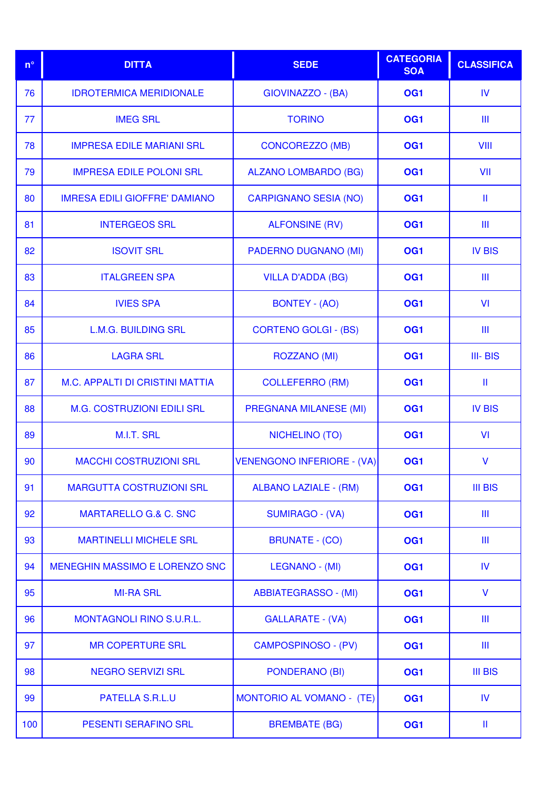| $n^{\circ}$ | <b>DITTA</b>                         | <b>SEDE</b>                      | <b>CATEGORIA</b><br><b>SOA</b> | <b>CLASSIFICA</b> |
|-------------|--------------------------------------|----------------------------------|--------------------------------|-------------------|
| 76          | <b>IDROTERMICA MERIDIONALE</b>       | GIOVINAZZO - (BA)                | OG <sub>1</sub>                | <b>IV</b>         |
| 77          | <b>IMEG SRL</b>                      | <b>TORINO</b>                    | OG <sub>1</sub>                | Ш                 |
| 78          | <b>IMPRESA EDILE MARIANI SRL</b>     | <b>CONCOREZZO (MB)</b>           | OG <sub>1</sub>                | VIII              |
| 79          | <b>IMPRESA EDILE POLONI SRL</b>      | <b>ALZANO LOMBARDO (BG)</b>      | OG <sub>1</sub>                | VII               |
| 80          | <b>IMRESA EDILI GIOFFRE' DAMIANO</b> | <b>CARPIGNANO SESIA (NO)</b>     | OG <sub>1</sub>                | Ш                 |
| 81          | <b>INTERGEOS SRL</b>                 | <b>ALFONSINE (RV)</b>            | OG <sub>1</sub>                | Ш                 |
| 82          | <b>ISOVIT SRL</b>                    | <b>PADERNO DUGNANO (MI)</b>      | OG <sub>1</sub>                | <b>IV BIS</b>     |
| 83          | <b>ITALGREEN SPA</b>                 | <b>VILLA D'ADDA (BG)</b>         | OG <sub>1</sub>                | Ш                 |
| 84          | <b>IVIES SPA</b>                     | <b>BONTEY - (AO)</b>             | OG <sub>1</sub>                | VI                |
| 85          | <b>L.M.G. BUILDING SRL</b>           | <b>CORTENO GOLGI - (BS)</b>      | OG <sub>1</sub>                | Ш                 |
| 86          | <b>LAGRA SRL</b>                     | <b>ROZZANO (MI)</b>              | OG <sub>1</sub>                | III-BIS           |
| 87          | M.C. APPALTI DI CRISTINI MATTIA      | <b>COLLEFERRO (RM)</b>           | OG <sub>1</sub>                | Ш                 |
| 88          | <b>M.G. COSTRUZIONI EDILI SRL</b>    | <b>PREGNANA MILANESE (MI)</b>    | OG <sub>1</sub>                | <b>IV BIS</b>     |
| 89          | M.I.T. SRL                           | <b>NICHELINO (TO)</b>            | OG <sub>1</sub>                | VI                |
| 90          | <b>MACCHI COSTRUZIONI SRL</b>        | VENENGONO INFERIORE - (VA)       | OG <sub>1</sub>                | $\vee$            |
| 91          | <b>MARGUTTA COSTRUZIONI SRL</b>      | <b>ALBANO LAZIALE - (RM)</b>     | OG <sub>1</sub>                | <b>III BIS</b>    |
| 92          | <b>MARTARELLO G.&amp; C. SNC</b>     | <b>SUMIRAGO - (VA)</b>           | OG <sub>1</sub>                | Ш                 |
| 93          | <b>MARTINELLI MICHELE SRL</b>        | <b>BRUNATE - (CO)</b>            | OG <sub>1</sub>                | Ш                 |
| 94          | MENEGHIN MASSIMO E LORENZO SNC       | LEGNANO - (MI)                   | OG <sub>1</sub>                | IV                |
| 95          | <b>MI-RA SRL</b>                     | <b>ABBIATEGRASSO - (MI)</b>      | OG <sub>1</sub>                | V                 |
| 96          | <b>MONTAGNOLI RINO S.U.R.L.</b>      | <b>GALLARATE - (VA)</b>          | OG <sub>1</sub>                | Ш                 |
| 97          | <b>MR COPERTURE SRL</b>              | <b>CAMPOSPINOSO - (PV)</b>       | OG <sub>1</sub>                | Ш                 |
| 98          | <b>NEGRO SERVIZI SRL</b>             | <b>PONDERANO (BI)</b>            | OG <sub>1</sub>                | <b>III BIS</b>    |
| 99          | <b>PATELLA S.R.L.U</b>               | <b>MONTORIO AL VOMANO - (TE)</b> | OG <sub>1</sub>                | <b>IV</b>         |
| 100         | PESENTI SERAFINO SRL                 | <b>BREMBATE (BG)</b>             | OG <sub>1</sub>                | Ш                 |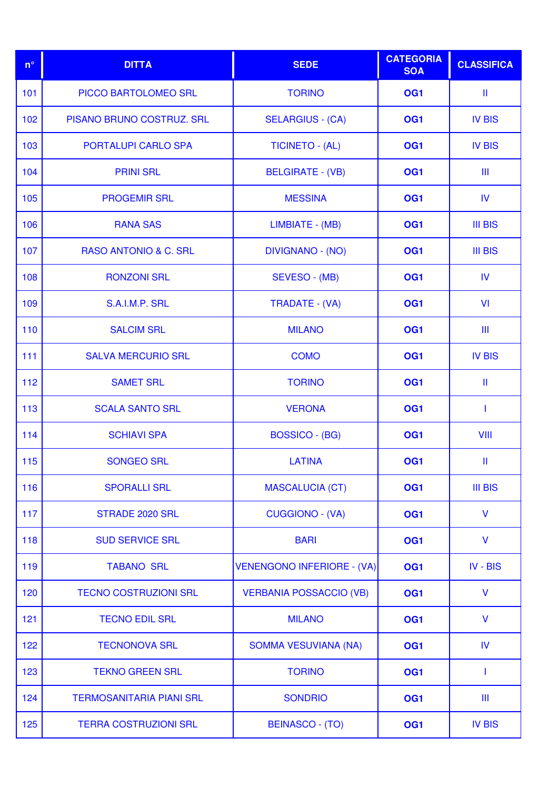| $n^{\circ}$ | <b>DITTA</b>                     | <b>SEDE</b>                       | <b>CATEGORIA</b><br><b>SOA</b> | <b>CLASSIFICA</b> |
|-------------|----------------------------------|-----------------------------------|--------------------------------|-------------------|
| 101         | PICCO BARTOLOMEO SRL             | <b>TORINO</b>                     | OG <sub>1</sub>                | Ш                 |
| 102         | PISANO BRUNO COSTRUZ. SRL        | <b>SELARGIUS - (CA)</b>           | OG <sub>1</sub>                | <b>IV BIS</b>     |
| 103         | <b>PORTALUPI CARLO SPA</b>       | <b>TICINETO - (AL)</b>            | OG <sub>1</sub>                | <b>IV BIS</b>     |
| 104         | <b>PRINI SRL</b>                 | <b>BELGIRATE - (VB)</b>           | OG <sub>1</sub>                | Ш                 |
| 105         | <b>PROGEMIR SRL</b>              | <b>MESSINA</b>                    | OG <sub>1</sub>                | <b>IV</b>         |
| 106         | <b>RANA SAS</b>                  | LIMBIATE - (MB)                   | OG <sub>1</sub>                | <b>III BIS</b>    |
| 107         | <b>RASO ANTONIO &amp; C. SRL</b> | <b>DIVIGNANO - (NO)</b>           | OG <sub>1</sub>                | <b>III BIS</b>    |
| 108         | <b>RONZONI SRL</b>               | SEVESO - (MB)                     | OG <sub>1</sub>                | <b>IV</b>         |
| 109         | S.A.I.M.P. SRL                   | TRADATE - (VA)                    | OG <sub>1</sub>                | VI                |
| 110         | <b>SALCIM SRL</b>                | <b>MILANO</b>                     | OG <sub>1</sub>                | Ш                 |
| 111         | <b>SALVA MERCURIO SRL</b>        | <b>COMO</b>                       | OG <sub>1</sub>                | <b>IV BIS</b>     |
| 112         | <b>SAMET SRL</b>                 | <b>TORINO</b>                     | OG <sub>1</sub>                | Ш                 |
| 113         | <b>SCALA SANTO SRL</b>           | <b>VERONA</b>                     | OG <sub>1</sub>                | $\mathbf{I}$      |
| 114         | <b>SCHIAVI SPA</b>               | <b>BOSSICO - (BG)</b>             | OG <sub>1</sub>                | <b>VIII</b>       |
| 115         | <b>SONGEO SRL</b>                | <b>LATINA</b>                     | OG <sub>1</sub>                | Ш                 |
| 116         | <b>SPORALLI SRL</b>              | <b>MASCALUCIA (CT)</b>            | OG <sub>1</sub>                | <b>III BIS</b>    |
| 117         | STRADE 2020 SRL                  | <b>CUGGIONO - (VA)</b>            | OG <sub>1</sub>                | $\mathsf{V}$      |
| 118         | <b>SUD SERVICE SRL</b>           | <b>BARI</b>                       | OG <sub>1</sub>                | $\mathsf{V}$      |
| 119         | <b>TABANO SRL</b>                | <b>VENENGONO INFERIORE - (VA)</b> | OG <sub>1</sub>                | IV - BIS          |
| 120         | <b>TECNO COSTRUZIONI SRL</b>     | <b>VERBANIA POSSACCIO (VB)</b>    | OG <sub>1</sub>                | $\mathsf{V}$      |
| 121         | <b>TECNO EDIL SRL</b>            | <b>MILANO</b>                     | OG <sub>1</sub>                | $\mathsf{V}$      |
| 122         | <b>TECNONOVA SRL</b>             | <b>SOMMA VESUVIANA (NA)</b>       | OG <sub>1</sub>                | IV                |
| 123         | <b>TEKNO GREEN SRL</b>           | <b>TORINO</b>                     | OG <sub>1</sub>                | $\mathbf{I}$      |
| 124         | <b>TERMOSANITARIA PIANI SRL</b>  | <b>SONDRIO</b>                    | OG <sub>1</sub>                | Ш                 |
| 125         | <b>TERRA COSTRUZIONI SRL</b>     | <b>BEINASCO - (TO)</b>            | OG <sub>1</sub>                | <b>IV BIS</b>     |